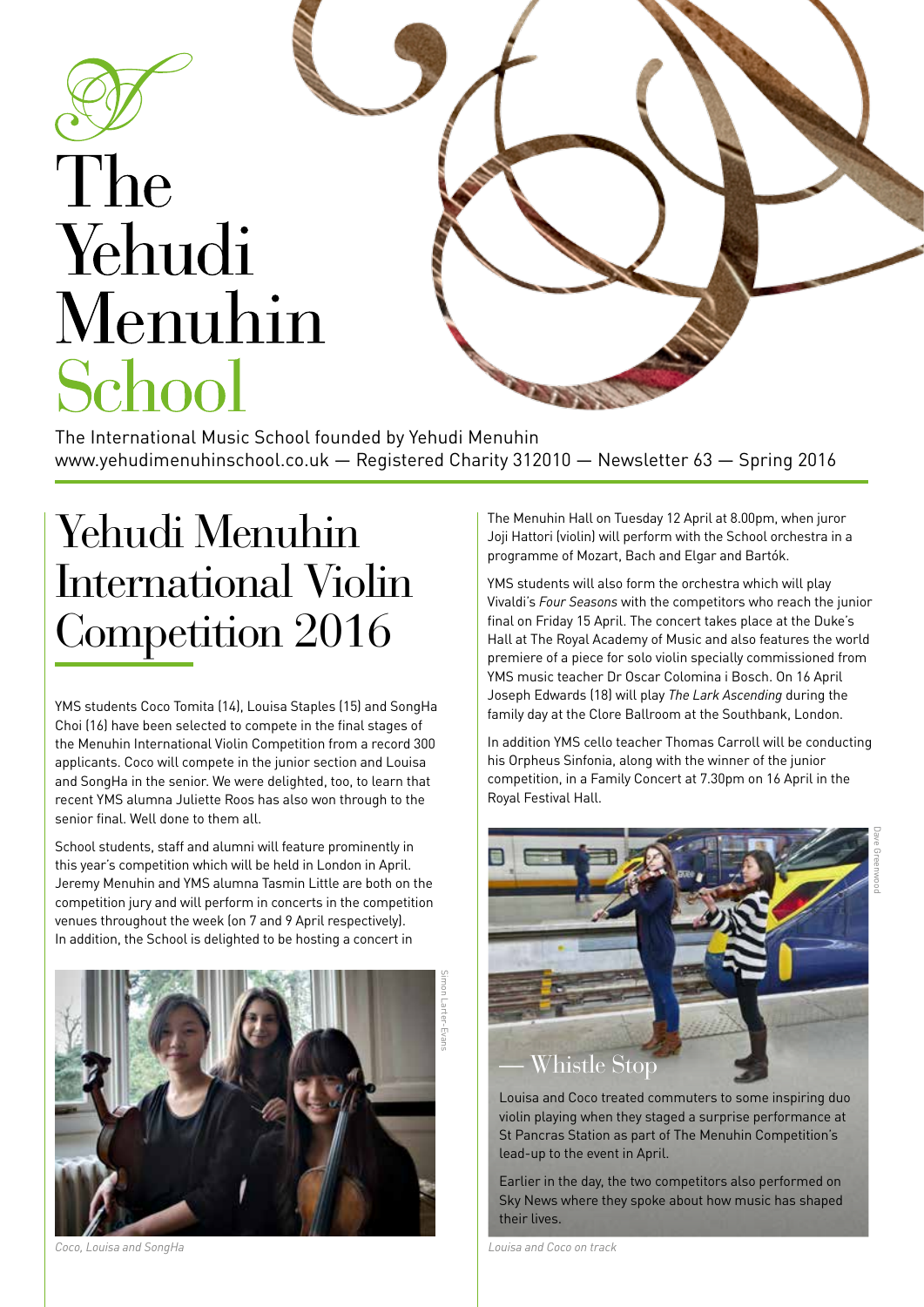

# The Yehudi Menuhin School

The International Music School founded by Yehudi Menuhin www.yehudimenuhinschool.co.uk — Registered Charity 312010 — Newsletter 63 — Spring 2016

# Yehudi Menuhin International Violin Competition 2016

YMS students Coco Tomita (14), Louisa Staples (15) and SongHa Choi (16) have been selected to compete in the final stages of the Menuhin International Violin Competition from a record 300 applicants. Coco will compete in the junior section and Louisa and SongHa in the senior. We were delighted, too, to learn that recent YMS alumna Juliette Roos has also won through to the senior final. Well done to them all.

School students, staff and alumni will feature prominently in this year's competition which will be held in London in April. Jeremy Menuhin and YMS alumna Tasmin Little are both on the competition jury and will perform in concerts in the competition venues throughout the week (on 7 and 9 April respectively). In addition, the School is delighted to be hosting a concert in



*Coco, Louisa and SongHa Louisa and Coco on track*

The Menuhin Hall on Tuesday 12 April at 8.00pm, when juror Joji Hattori (violin) will perform with the School orchestra in a programme of Mozart, Bach and Elgar and Bartók.

YMS students will also form the orchestra which will play Vivaldi's *Four Seasons* with the competitors who reach the junior final on Friday 15 April. The concert takes place at the Duke's Hall at The Royal Academy of Music and also features the world premiere of a piece for solo violin specially commissioned from YMS music teacher Dr Oscar Colomina i Bosch. On 16 April Joseph Edwards (18) will play *The Lark Ascending* during the family day at the Clore Ballroom at the Southbank, London.

In addition YMS cello teacher Thomas Carroll will be conducting his Orpheus Sinfonia, along with the winner of the junior competition, in a Family Concert at 7.30pm on 16 April in the Royal Festival Hall.



Louisa and Coco treated commuters to some inspiring duo violin playing when they staged a surprise performance at St Pancras Station as part of The Menuhin Competition's lead-up to the event in April.

Earlier in the day, the two competitors also performed on Sky News where they spoke about how music has shaped their lives.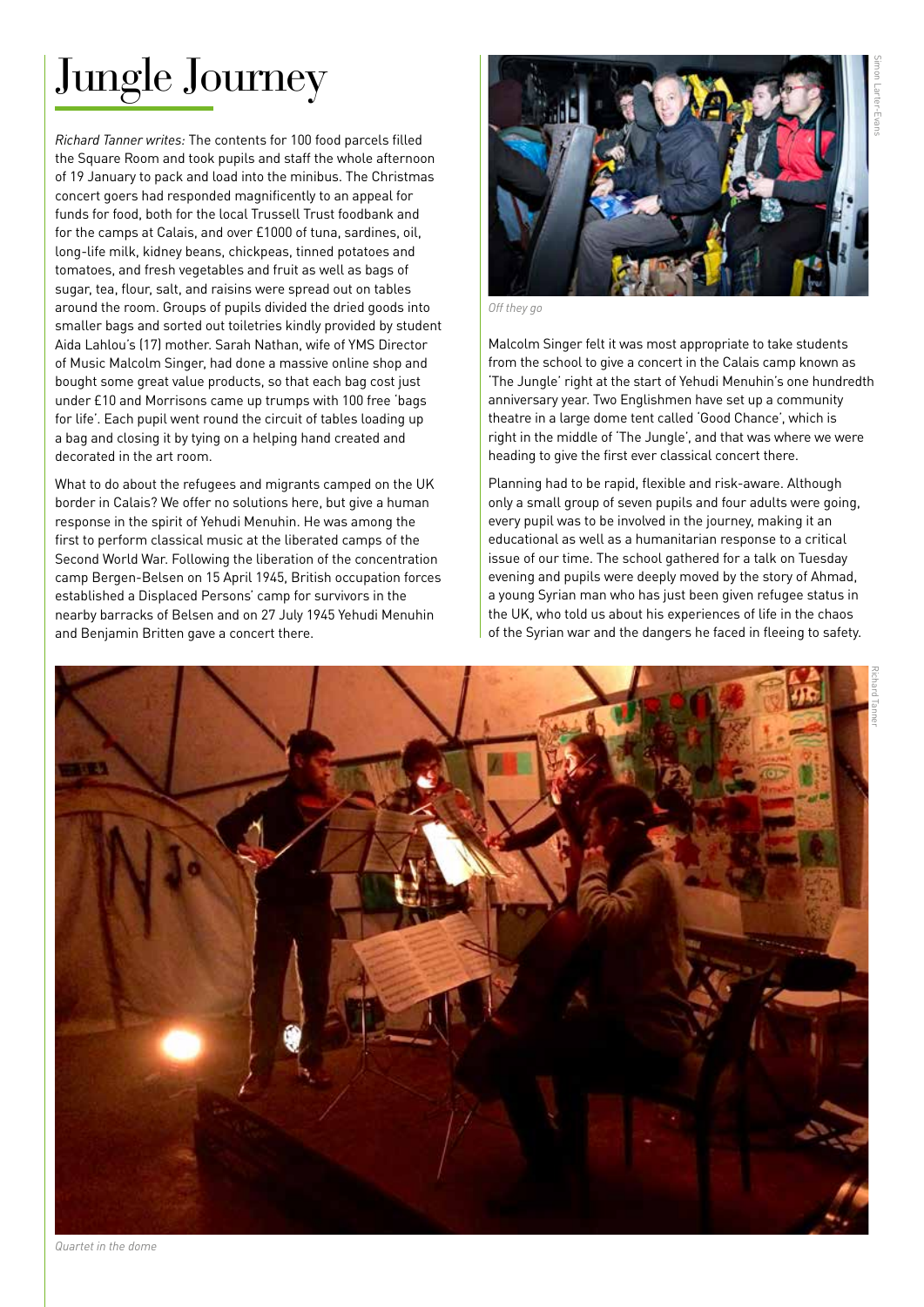# Jungle Journey

*Richard Tanner writes:* The contents for 100 food parcels filled the Square Room and took pupils and staff the whole afternoon of 19 January to pack and load into the minibus. The Christmas concert goers had responded magnificently to an appeal for funds for food, both for the local Trussell Trust foodbank and for the camps at Calais, and over £1000 of tuna, sardines, oil, long-life milk, kidney beans, chickpeas, tinned potatoes and tomatoes, and fresh vegetables and fruit as well as bags of sugar, tea, flour, salt, and raisins were spread out on tables around the room. Groups of pupils divided the dried goods into smaller bags and sorted out toiletries kindly provided by student Aida Lahlou's (17) mother. Sarah Nathan, wife of YMS Director of Music Malcolm Singer, had done a massive online shop and bought some great value products, so that each bag cost just under £10 and Morrisons came up trumps with 100 free 'bags for life'. Each pupil went round the circuit of tables loading up a bag and closing it by tying on a helping hand created and decorated in the art room.

What to do about the refugees and migrants camped on the UK border in Calais? We offer no solutions here, but give a human response in the spirit of Yehudi Menuhin. He was among the first to perform classical music at the liberated camps of the Second World War. Following the liberation of the concentration camp Bergen-Belsen on 15 April 1945, British occupation forces established a Displaced Persons' camp for survivors in the nearby barracks of Belsen and on 27 July 1945 Yehudi Menuhin and Benjamin Britten gave a concert there.



*Off they go*

Malcolm Singer felt it was most appropriate to take students from the school to give a concert in the Calais camp known as 'The Jungle' right at the start of Yehudi Menuhin's one hundredth anniversary year. Two Englishmen have set up a community theatre in a large dome tent called 'Good Chance', which is right in the middle of 'The Jungle', and that was where we were heading to give the first ever classical concert there.

Planning had to be rapid, flexible and risk-aware. Although only a small group of seven pupils and four adults were going, every pupil was to be involved in the journey, making it an educational as well as a humanitarian response to a critical issue of our time. The school gathered for a talk on Tuesday evening and pupils were deeply moved by the story of Ahmad, a young Syrian man who has just been given refugee status in the UK, who told us about his experiences of life in the chaos of the Syrian war and the dangers he faced in fleeing to safety.



*Quartet in the dome*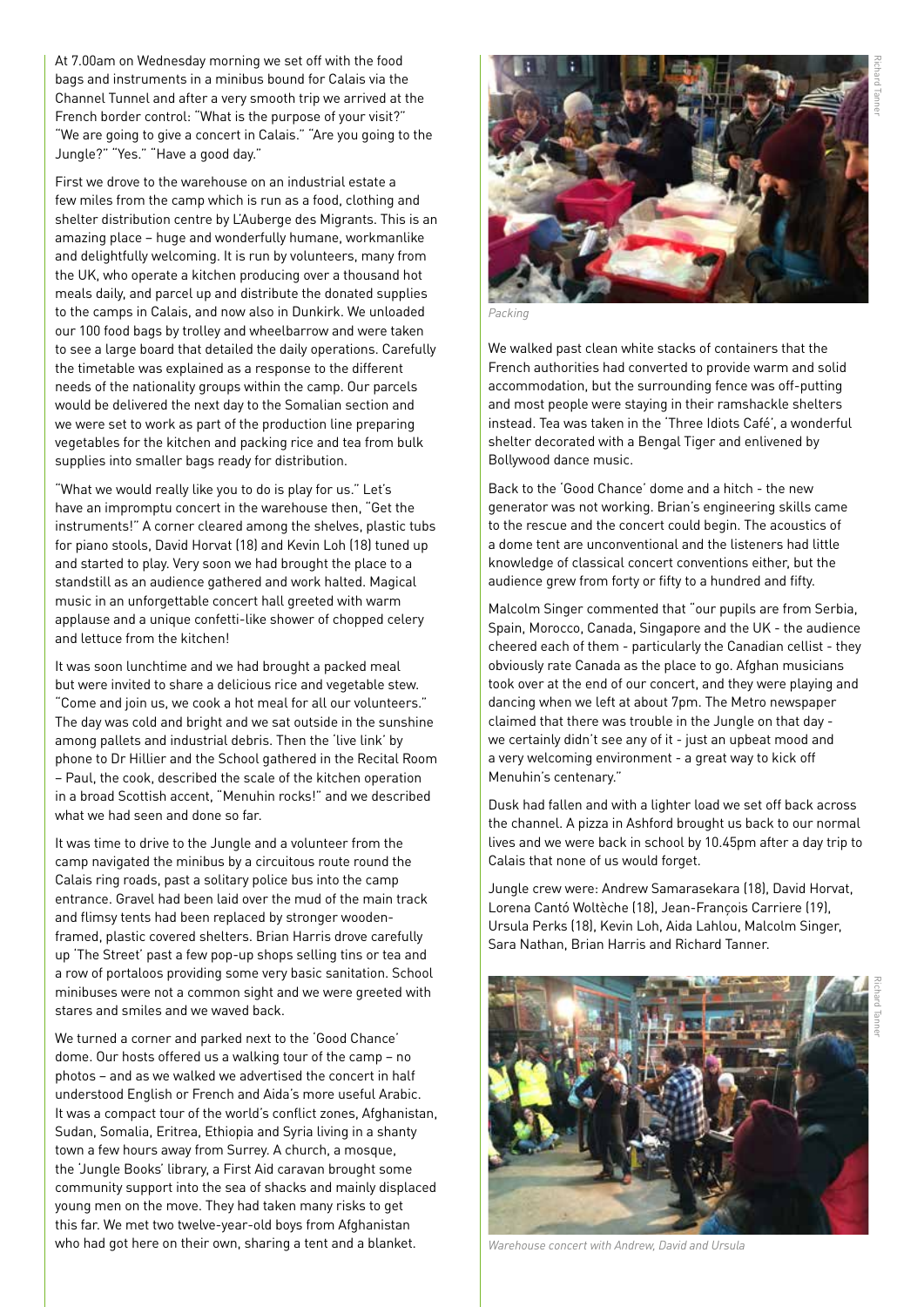At 7.00am on Wednesday morning we set off with the food bags and instruments in a minibus bound for Calais via the Channel Tunnel and after a very smooth trip we arrived at the French border control: "What is the purpose of your visit?" "We are going to give a concert in Calais." "Are you going to the Jungle?" "Yes." "Have a good day."

First we drove to the warehouse on an industrial estate a few miles from the camp which is run as a food, clothing and shelter distribution centre by L'Auberge des Migrants. This is an amazing place – huge and wonderfully humane, workmanlike and delightfully welcoming. It is run by volunteers, many from the UK, who operate a kitchen producing over a thousand hot meals daily, and parcel up and distribute the donated supplies to the camps in Calais, and now also in Dunkirk. We unloaded our 100 food bags by trolley and wheelbarrow and were taken to see a large board that detailed the daily operations. Carefully the timetable was explained as a response to the different needs of the nationality groups within the camp. Our parcels would be delivered the next day to the Somalian section and we were set to work as part of the production line preparing vegetables for the kitchen and packing rice and tea from bulk supplies into smaller bags ready for distribution.

"What we would really like you to do is play for us." Let's have an impromptu concert in the warehouse then, "Get the instruments!" A corner cleared among the shelves, plastic tubs for piano stools, David Horvat (18) and Kevin Loh (18) tuned up and started to play. Very soon we had brought the place to a standstill as an audience gathered and work halted. Magical music in an unforgettable concert hall greeted with warm applause and a unique confetti-like shower of chopped celery and lettuce from the kitchen!

It was soon lunchtime and we had brought a packed meal but were invited to share a delicious rice and vegetable stew. "Come and join us, we cook a hot meal for all our volunteers." The day was cold and bright and we sat outside in the sunshine among pallets and industrial debris. Then the 'live link' by phone to Dr Hillier and the School gathered in the Recital Room – Paul, the cook, described the scale of the kitchen operation in a broad Scottish accent, "Menuhin rocks!" and we described what we had seen and done so far.

It was time to drive to the Jungle and a volunteer from the camp navigated the minibus by a circuitous route round the Calais ring roads, past a solitary police bus into the camp entrance. Gravel had been laid over the mud of the main track and flimsy tents had been replaced by stronger woodenframed, plastic covered shelters. Brian Harris drove carefully up 'The Street' past a few pop-up shops selling tins or tea and a row of portaloos providing some very basic sanitation. School minibuses were not a common sight and we were greeted with stares and smiles and we waved back.

We turned a corner and parked next to the 'Good Chance' dome. Our hosts offered us a walking tour of the camp – no photos – and as we walked we advertised the concert in half understood English or French and Aida's more useful Arabic. It was a compact tour of the world's conflict zones, Afghanistan, Sudan, Somalia, Eritrea, Ethiopia and Syria living in a shanty town a few hours away from Surrey. A church, a mosque, the 'Jungle Books' library, a First Aid caravan brought some community support into the sea of shacks and mainly displaced young men on the move. They had taken many risks to get this far. We met two twelve-year-old boys from Afghanistan who had got here on their own, sharing a tent and a blanket.



*Packing*

We walked past clean white stacks of containers that the French authorities had converted to provide warm and solid accommodation, but the surrounding fence was off-putting and most people were staying in their ramshackle shelters instead. Tea was taken in the 'Three Idiots Café', a wonderful shelter decorated with a Bengal Tiger and enlivened by Bollywood dance music.

Back to the 'Good Chance' dome and a hitch - the new generator was not working. Brian's engineering skills came to the rescue and the concert could begin. The acoustics of a dome tent are unconventional and the listeners had little knowledge of classical concert conventions either, but the audience grew from forty or fifty to a hundred and fifty.

Malcolm Singer commented that "our pupils are from Serbia, Spain, Morocco, Canada, Singapore and the UK - the audience cheered each of them - particularly the Canadian cellist - they obviously rate Canada as the place to go. Afghan musicians took over at the end of our concert, and they were playing and dancing when we left at about 7pm. The Metro newspaper claimed that there was trouble in the Jungle on that day we certainly didn't see any of it - just an upbeat mood and a very welcoming environment - a great way to kick off Menuhin's centenary."

Dusk had fallen and with a lighter load we set off back across the channel. A pizza in Ashford brought us back to our normal lives and we were back in school by 10.45pm after a day trip to Calais that none of us would forget.

Jungle crew were: Andrew Samarasekara (18), David Horvat, Lorena Cantó Woltèche (18), Jean-François Carriere (19), Ursula Perks (18), Kevin Loh, Aida Lahlou, Malcolm Singer, Sara Nathan, Brian Harris and Richard Tanner.



*Warehouse concert with Andrew, David and Ursula*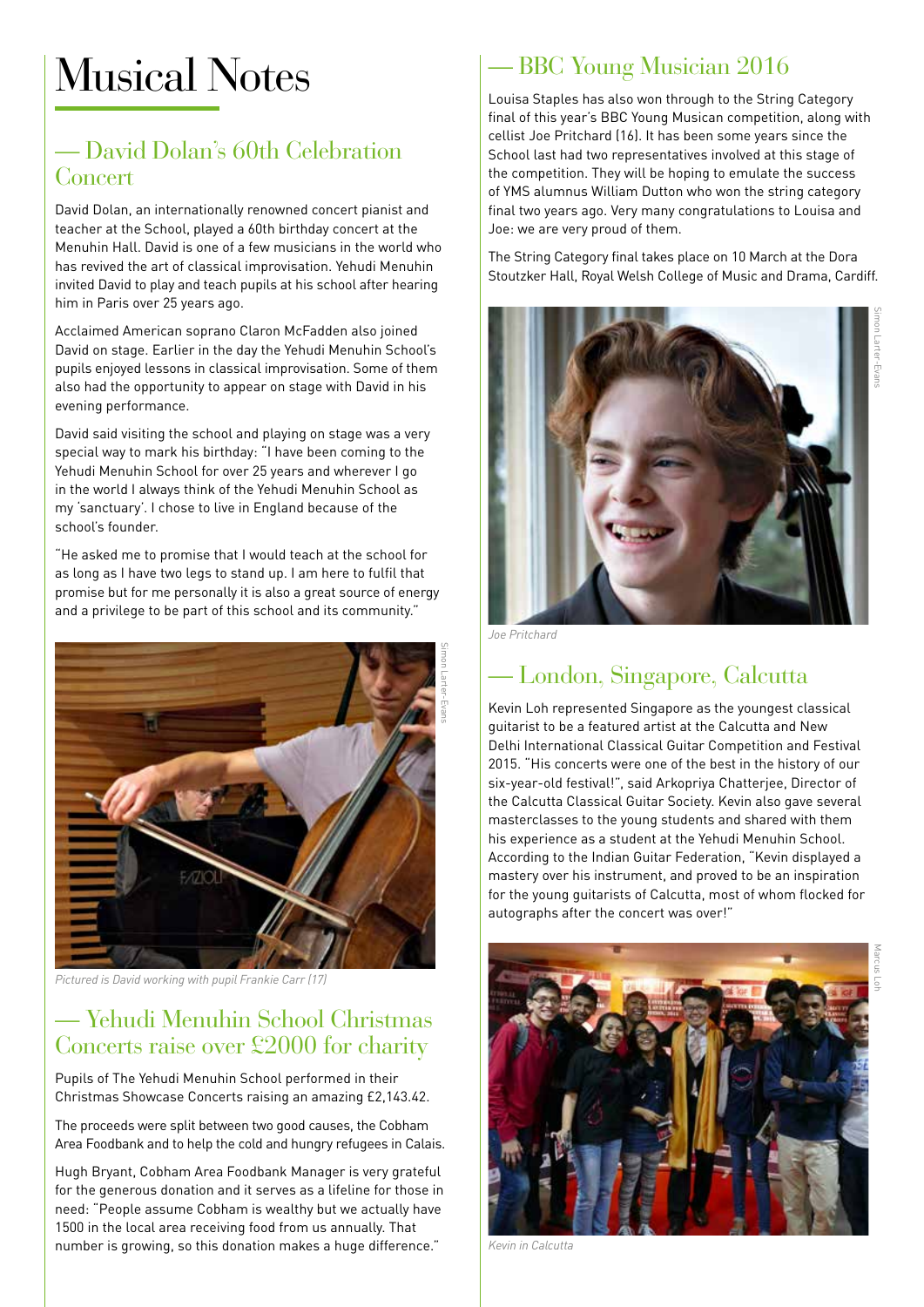# Musical Notes

#### — David Dolan's 60th Celebration Concert

David Dolan, an internationally renowned concert pianist and teacher at the School, played a 60th birthday concert at the Menuhin Hall. David is one of a few musicians in the world who has revived the art of classical improvisation. Yehudi Menuhin invited David to play and teach pupils at his school after hearing him in Paris over 25 years ago.

Acclaimed American soprano Claron McFadden also joined David on stage. Earlier in the day the Yehudi Menuhin School's pupils enjoyed lessons in classical improvisation. Some of them also had the opportunity to appear on stage with David in his evening performance.

David said visiting the school and playing on stage was a very special way to mark his birthday: "I have been coming to the Yehudi Menuhin School for over 25 years and wherever I go in the world I always think of the Yehudi Menuhin School as my 'sanctuary'. I chose to live in England because of the school's founder.

"He asked me to promise that I would teach at the school for as long as I have two legs to stand up. I am here to fulfil that promise but for me personally it is also a great source of energy and a privilege to be part of this school and its community."



*Pictured is David working with pupil Frankie Carr (17)*

#### — Yehudi Menuhin School Christmas Concerts raise over £2000 for charity

Pupils of The Yehudi Menuhin School performed in their Christmas Showcase Concerts raising an amazing £2,143.42.

The proceeds were split between two good causes, the Cobham Area Foodbank and to help the cold and hungry refugees in Calais.

Hugh Bryant, Cobham Area Foodbank Manager is very grateful for the generous donation and it serves as a lifeline for those in need: "People assume Cobham is wealthy but we actually have 1500 in the local area receiving food from us annually. That number is growing, so this donation makes a huge difference."

#### — BBC Young Musician 2016

Louisa Staples has also won through to the String Category final of this year's BBC Young Musican competition, along with cellist Joe Pritchard (16). It has been some years since the School last had two representatives involved at this stage of the competition. They will be hoping to emulate the success of YMS alumnus William Dutton who won the string category final two years ago. Very many congratulations to Louisa and Joe: we are very proud of them.

The String Category final takes place on 10 March at the Dora Stoutzker Hall, Royal Welsh College of Music and Drama, Cardiff.



*Joe Pritchard*

### — London, Singapore, Calcutta

Kevin Loh represented Singapore as the youngest classical guitarist to be a featured artist at the Calcutta and New Delhi International Classical Guitar Competition and Festival 2015. "His concerts were one of the best in the history of our six-year-old festival!", said Arkopriya Chatterjee, Director of the Calcutta Classical Guitar Society. Kevin also gave several masterclasses to the young students and shared with them his experience as a student at the Yehudi Menuhin School. According to the Indian Guitar Federation, "Kevin displayed a mastery over his instrument, and proved to be an inspiration for the young guitarists of Calcutta, most of whom flocked for autographs after the concert was over!"



*Kevin in Calcutta*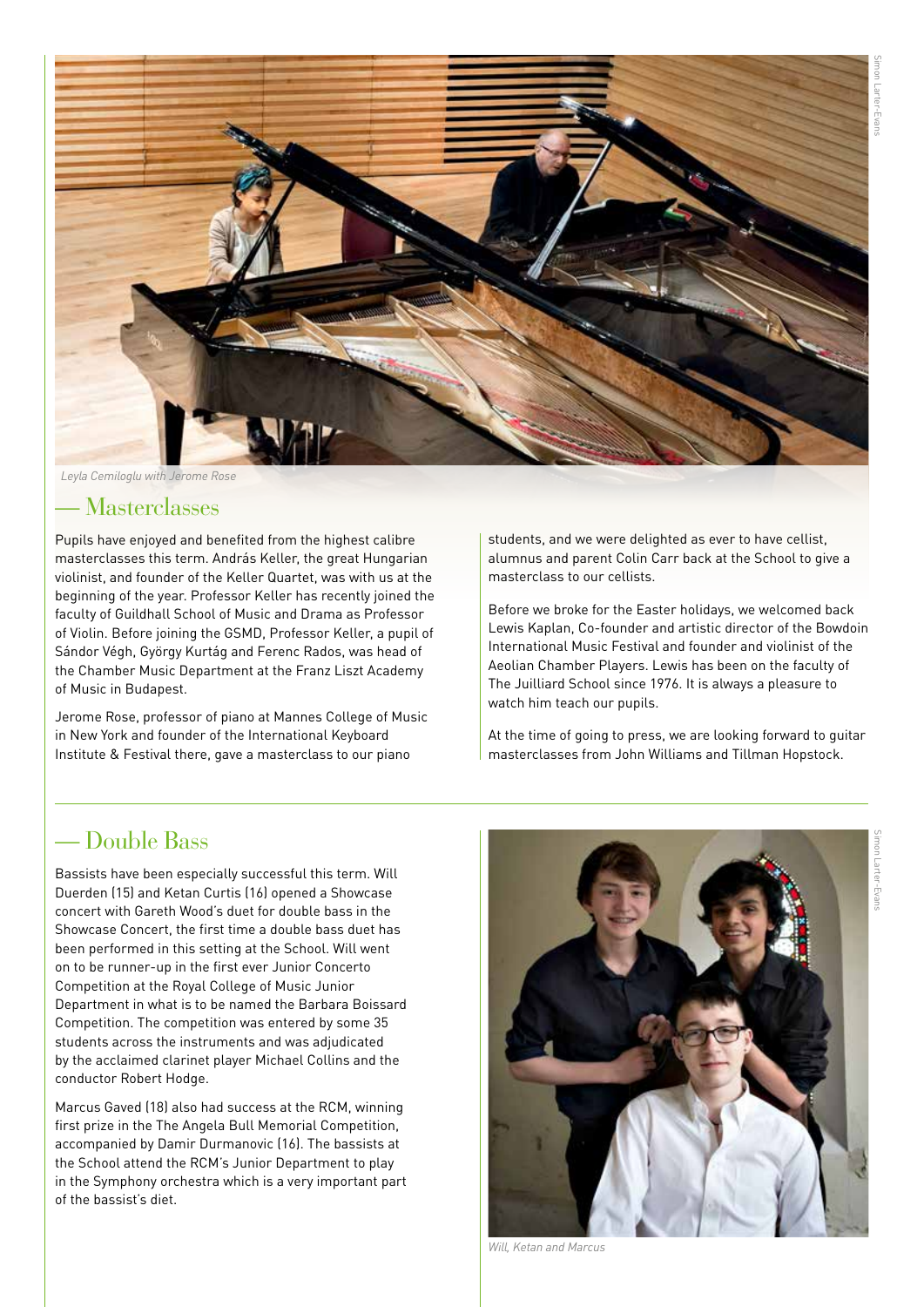

*Leyla Cemiloglu with Jerome Rose*

#### — Masterclasses

Pupils have enjoyed and benefited from the highest calibre masterclasses this term. András Keller, the great Hungarian violinist, and founder of the Keller Quartet, was with us at the beginning of the year. Professor Keller has recently joined the faculty of Guildhall School of Music and Drama as Professor of Violin. Before joining the GSMD, Professor Keller, a pupil of Sándor Végh, György Kurtág and Ferenc Rados, was head of the Chamber Music Department at the Franz Liszt Academy of Music in Budapest.

Jerome Rose, professor of piano at Mannes College of Music in New York and founder of the International Keyboard Institute & Festival there, gave a masterclass to our piano

students, and we were delighted as ever to have cellist, alumnus and parent Colin Carr back at the School to give a masterclass to our cellists.

Before we broke for the Easter holidays, we welcomed back Lewis Kaplan, Co-founder and artistic director of the Bowdoin International Music Festival and founder and violinist of the Aeolian Chamber Players. Lewis has been on the faculty of The Juilliard School since 1976. It is always a pleasure to watch him teach our pupils.

At the time of going to press, we are looking forward to guitar masterclasses from John Williams and Tillman Hopstock.

#### — Double Bass

Bassists have been especially successful this term. Will Duerden (15) and Ketan Curtis (16) opened a Showcase concert with Gareth Wood's duet for double bass in the Showcase Concert, the first time a double bass duet has been performed in this setting at the School. Will went on to be runner-up in the first ever Junior Concerto Competition at the Royal College of Music Junior Department in what is to be named the Barbara Boissard Competition. The competition was entered by some 35 students across the instruments and was adjudicated by the acclaimed clarinet player Michael Collins and the conductor Robert Hodge.

Marcus Gaved (18) also had success at the RCM, winning first prize in the The Angela Bull Memorial Competition, accompanied by Damir Durmanovic (16). The bassists at the School attend the RCM's Junior Department to play in the Symphony orchestra which is a very important part of the bassist's diet.



*Will, Ketan and Marcus*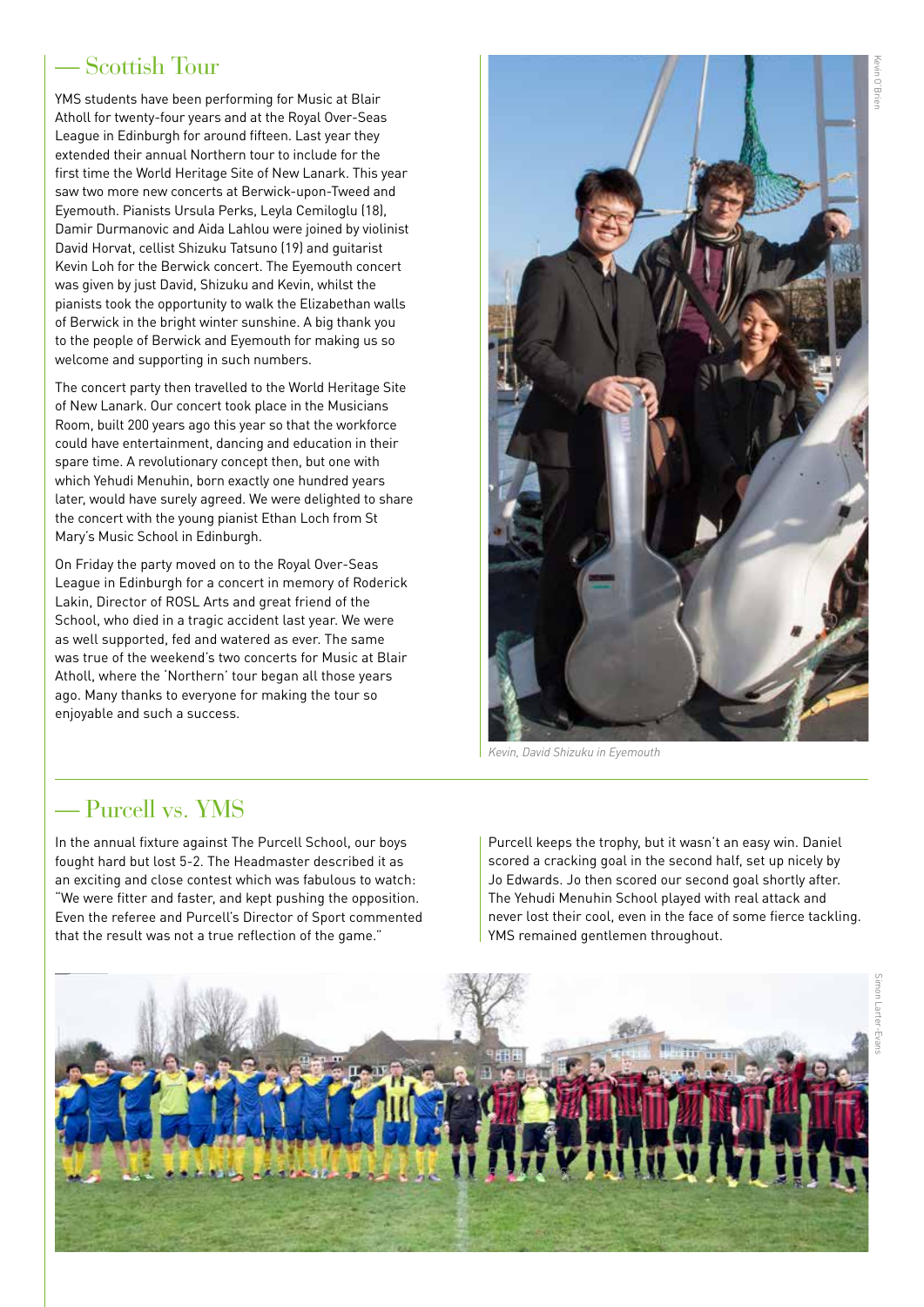#### — Scottish Tour

YMS students have been performing for Music at Blair Atholl for twenty-four years and at the Royal Over-Seas League in Edinburgh for around fifteen. Last year they extended their annual Northern tour to include for the first time the World Heritage Site of New Lanark. This year saw two more new concerts at Berwick-upon-Tweed and Eyemouth. Pianists Ursula Perks, Leyla Cemiloglu (18), Damir Durmanovic and Aida Lahlou were joined by violinist David Horvat, cellist Shizuku Tatsuno (19) and guitarist Kevin Loh for the Berwick concert. The Eyemouth concert was given by just David, Shizuku and Kevin, whilst the pianists took the opportunity to walk the Elizabethan walls of Berwick in the bright winter sunshine. A big thank you to the people of Berwick and Eyemouth for making us so welcome and supporting in such numbers.

The concert party then travelled to the World Heritage Site of New Lanark. Our concert took place in the Musicians Room, built 200 years ago this year so that the workforce could have entertainment, dancing and education in their spare time. A revolutionary concept then, but one with which Yehudi Menuhin, born exactly one hundred years later, would have surely agreed. We were delighted to share the concert with the young pianist Ethan Loch from St Mary's Music School in Edinburgh.

On Friday the party moved on to the Royal Over-Seas League in Edinburgh for a concert in memory of Roderick Lakin, Director of ROSL Arts and great friend of the School, who died in a tragic accident last year. We were as well supported, fed and watered as ever. The same was true of the weekend's two concerts for Music at Blair Atholl, where the 'Northern' tour began all those years ago. Many thanks to everyone for making the tour so enjoyable and such a success.



*Kevin, David Shizuku in Eyemouth*

#### — Purcell vs. YMS

In the annual fixture against The Purcell School, our boys fought hard but lost 5-2. The Headmaster described it as an exciting and close contest which was fabulous to watch: "We were fitter and faster, and kept pushing the opposition. Even the referee and Purcell's Director of Sport commented that the result was not a true reflection of the game."

Purcell keeps the trophy, but it wasn't an easy win. Daniel scored a cracking goal in the second half, set up nicely by Jo Edwards. Jo then scored our second goal shortly after. The Yehudi Menuhin School played with real attack and never lost their cool, even in the face of some fierce tackling. YMS remained gentlemen throughout.

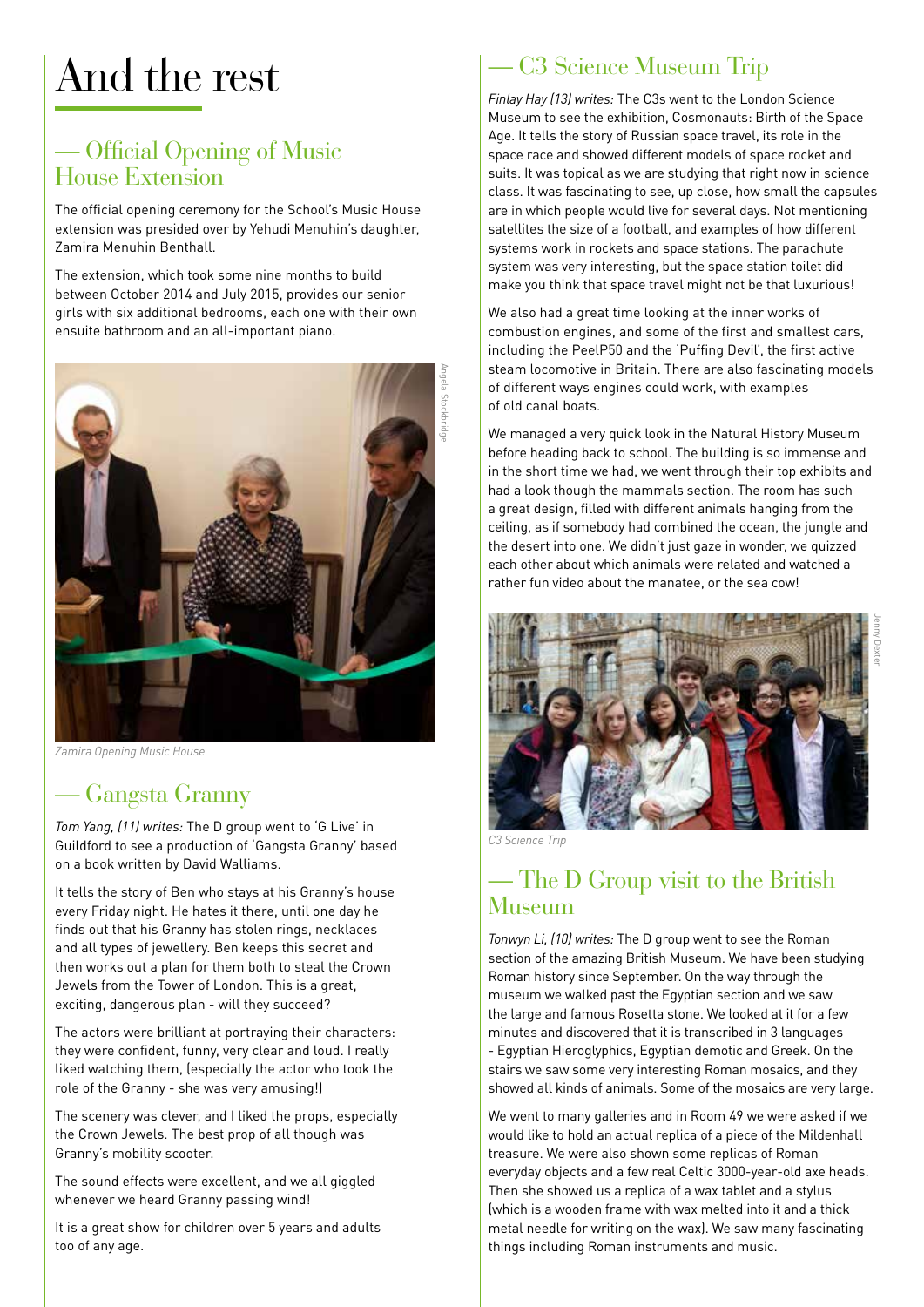# And the rest

#### — Official Opening of Music House Extension

The official opening ceremony for the School's Music House extension was presided over by Yehudi Menuhin's daughter, Zamira Menuhin Benthall.

The extension, which took some nine months to build between October 2014 and July 2015, provides our senior girls with six additional bedrooms, each one with their own ensuite bathroom and an all-important piano.



*Zamira Opening Music House*

#### — Gangsta Granny

*Tom Yang, (11) writes:* The D group went to 'G Live' in Guildford to see a production of 'Gangsta Granny' based on a book written by David Walliams.

It tells the story of Ben who stays at his Granny's house every Friday night. He hates it there, until one day he finds out that his Granny has stolen rings, necklaces and all types of jewellery. Ben keeps this secret and then works out a plan for them both to steal the Crown Jewels from the Tower of London. This is a great, exciting, dangerous plan - will they succeed?

The actors were brilliant at portraying their characters: they were confident, funny, very clear and loud. I really liked watching them, (especially the actor who took the role of the Granny - she was very amusing!)

The scenery was clever, and I liked the props, especially the Crown Jewels. The best prop of all though was Granny's mobility scooter.

The sound effects were excellent, and we all giggled whenever we heard Granny passing wind!

It is a great show for children over 5 years and adults too of any age.

### — C3 Science Museum Trip

*Finlay Hay (13) writes:* The C3s went to the London Science Museum to see the exhibition, Cosmonauts: Birth of the Space Age. It tells the story of Russian space travel, its role in the space race and showed different models of space rocket and suits. It was topical as we are studying that right now in science class. It was fascinating to see, up close, how small the capsules are in which people would live for several days. Not mentioning satellites the size of a football, and examples of how different systems work in rockets and space stations. The parachute system was very interesting, but the space station toilet did make you think that space travel might not be that luxurious!

We also had a great time looking at the inner works of combustion engines, and some of the first and smallest cars, including the PeelP50 and the 'Puffing Devil', the first active steam locomotive in Britain. There are also fascinating models of different ways engines could work, with examples of old canal boats.

We managed a very quick look in the Natural History Museum before heading back to school. The building is so immense and in the short time we had, we went through their top exhibits and had a look though the mammals section. The room has such a great design, filled with different animals hanging from the ceiling, as if somebody had combined the ocean, the jungle and the desert into one. We didn't just gaze in wonder, we quizzed each other about which animals were related and watched a rather fun video about the manatee, or the sea cow!



*C3 Science Trip*

#### — The D Group visit to the British Museum

*Tonwyn Li, (10) writes:* The D group went to see the Roman section of the amazing British Museum. We have been studying Roman history since September. On the way through the museum we walked past the Egyptian section and we saw the large and famous Rosetta stone. We looked at it for a few minutes and discovered that it is transcribed in 3 languages - Egyptian Hieroglyphics, Egyptian demotic and Greek. On the stairs we saw some very interesting Roman mosaics, and they showed all kinds of animals. Some of the mosaics are very large.

We went to many galleries and in Room 49 we were asked if we would like to hold an actual replica of a piece of the Mildenhall treasure. We were also shown some replicas of Roman everyday objects and a few real Celtic 3000-year-old axe heads. Then she showed us a replica of a wax tablet and a stylus (which is a wooden frame with wax melted into it and a thick metal needle for writing on the wax). We saw many fascinating things including Roman instruments and music.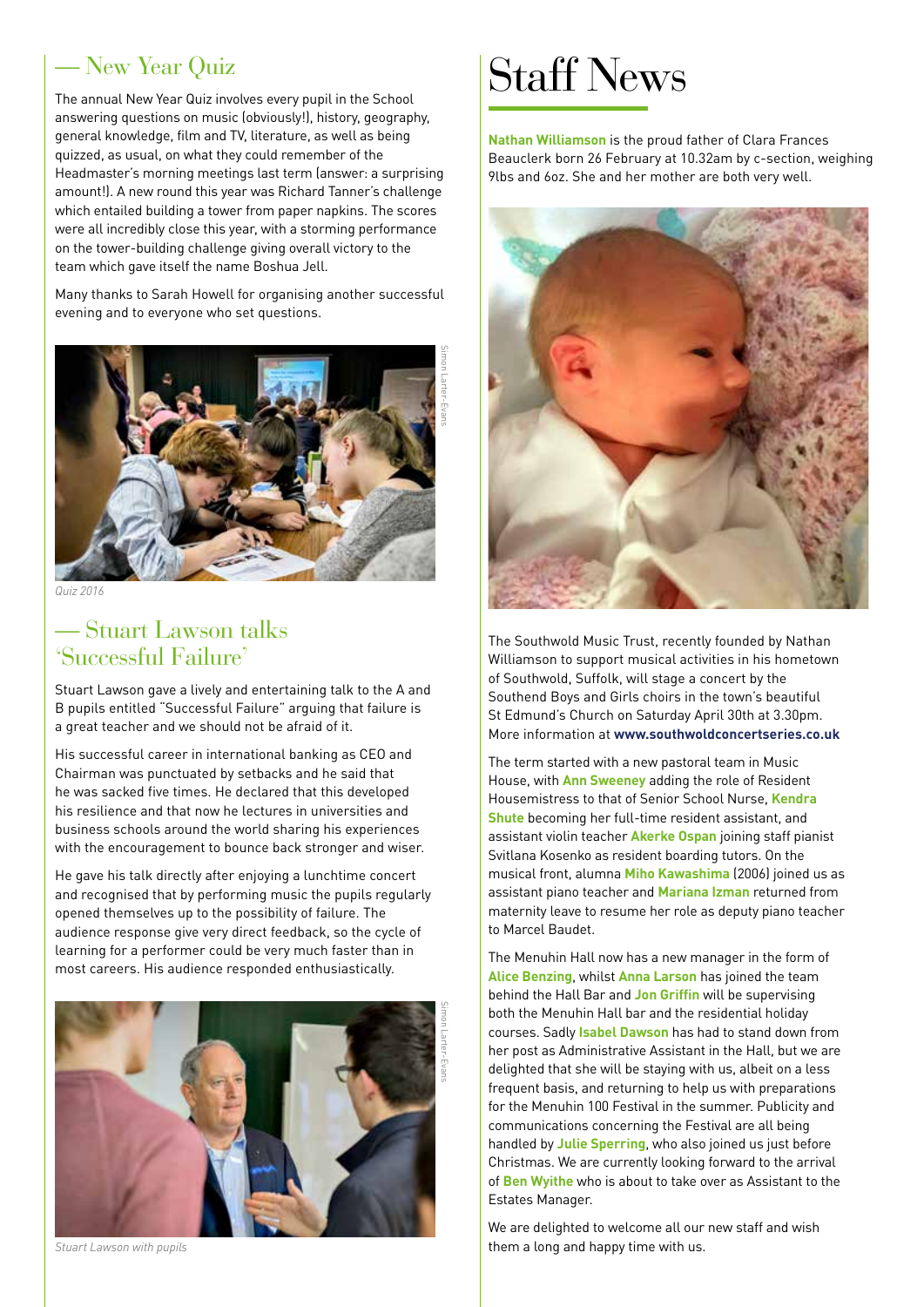#### — New Year Quiz

The annual New Year Quiz involves every pupil in the School answering questions on music (obviously!), history, geography, general knowledge, film and TV, literature, as well as being quizzed, as usual, on what they could remember of the Headmaster's morning meetings last term (answer: a surprising amount!). A new round this year was Richard Tanner's challenge which entailed building a tower from paper napkins. The scores were all incredibly close this year, with a storming performance on the tower-building challenge giving overall victory to the team which gave itself the name Boshua Jell.

Many thanks to Sarah Howell for organising another successful evening and to everyone who set questions.



*Quiz 2016*

#### — Stuart Lawson talks 'Successful Failure'

Stuart Lawson gave a lively and entertaining talk to the A and B pupils entitled "Successful Failure" arguing that failure is a great teacher and we should not be afraid of it.

His successful career in international banking as CEO and Chairman was punctuated by setbacks and he said that he was sacked five times. He declared that this developed his resilience and that now he lectures in universities and business schools around the world sharing his experiences with the encouragement to bounce back stronger and wiser.

He gave his talk directly after enjoying a lunchtime concert and recognised that by performing music the pupils regularly opened themselves up to the possibility of failure. The audience response give very direct feedback, so the cycle of learning for a performer could be very much faster than in most careers. His audience responded enthusiastically.



*Stuart Lawson with pupils*

## Staff News

**Nathan Williamson** is the proud father of Clara Frances Beauclerk born 26 February at 10.32am by c-section, weighing 9lbs and 6oz. She and her mother are both very well.



The Southwold Music Trust, recently founded by Nathan Williamson to support musical activities in his hometown of Southwold, Suffolk, will stage a concert by the Southend Boys and Girls choirs in the town's beautiful St Edmund's Church on Saturday April 30th at 3.30pm. More information at **www.southwoldconcertseries.co.uk**

The term started with a new pastoral team in Music House, with **Ann Sweeney** adding the role of Resident Housemistress to that of Senior School Nurse, **Kendra Shute** becoming her full-time resident assistant, and assistant violin teacher **Akerke Ospan** joining staff pianist Svitlana Kosenko as resident boarding tutors. On the musical front, alumna **Miho Kawashima** (2006) joined us as assistant piano teacher and **Mariana Izman** returned from maternity leave to resume her role as deputy piano teacher to Marcel Baudet.

The Menuhin Hall now has a new manager in the form of **Alice Benzing**, whilst **Anna Larson** has joined the team behind the Hall Bar and **Jon Griffin** will be supervising both the Menuhin Hall bar and the residential holiday courses. Sadly **Isabel Dawson** has had to stand down from her post as Administrative Assistant in the Hall, but we are delighted that she will be staying with us, albeit on a less frequent basis, and returning to help us with preparations for the Menuhin 100 Festival in the summer. Publicity and communications concerning the Festival are all being handled by **Julie Sperring**, who also joined us just before Christmas. We are currently looking forward to the arrival of **Ben Wyithe** who is about to take over as Assistant to the Estates Manager.

We are delighted to welcome all our new staff and wish them a long and happy time with us.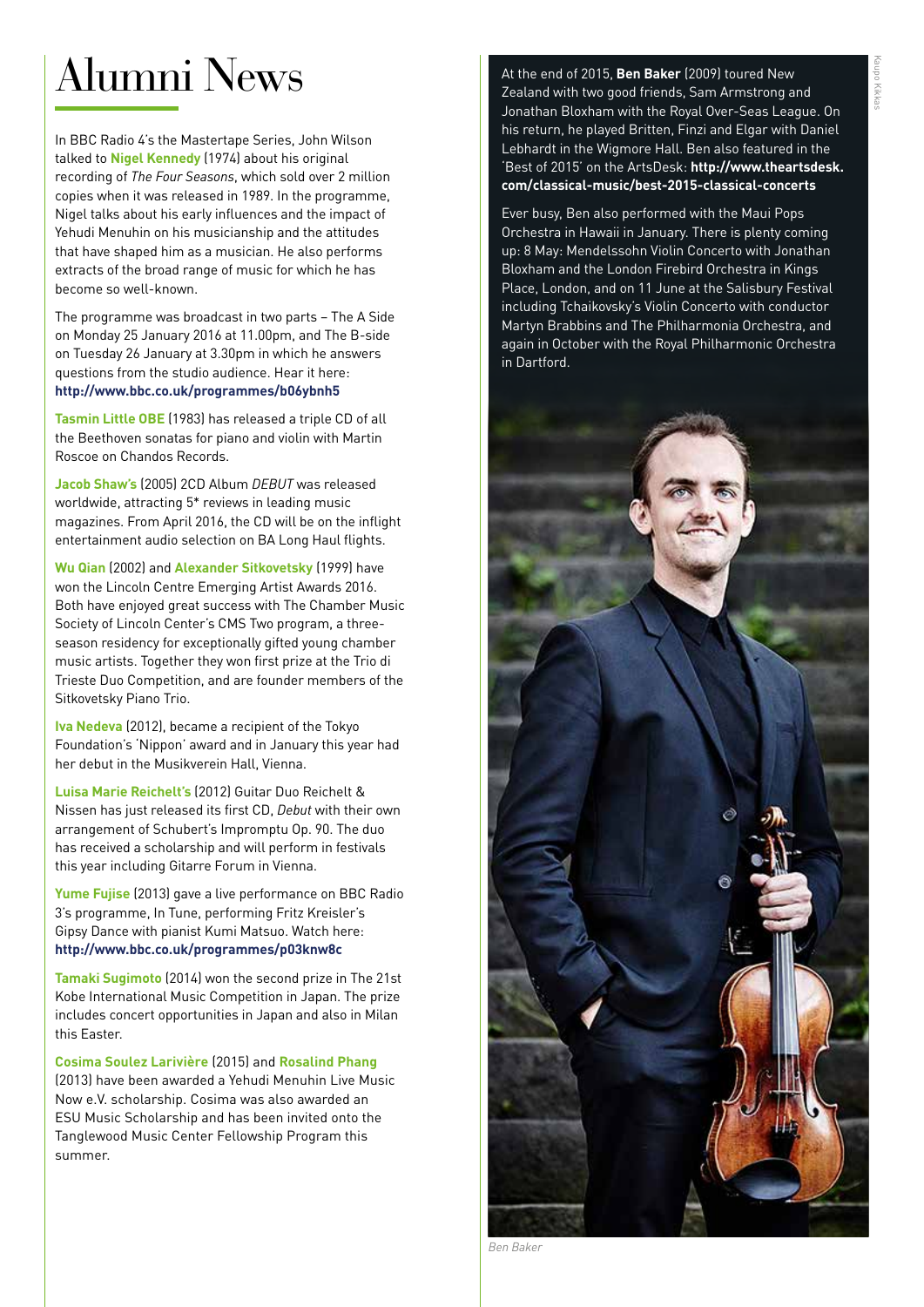#### Kaupo Kikkas upo Kikkas

## Alumni News

In BBC Radio 4's the Mastertape Series, John Wilson talked to **Nigel Kennedy** (1974) about his original recording of *The Four Seasons*, which sold over 2 million copies when it was released in 1989. In the programme, Nigel talks about his early influences and the impact of Yehudi Menuhin on his musicianship and the attitudes that have shaped him as a musician. He also performs extracts of the broad range of music for which he has become so well-known.

The programme was broadcast in two parts – The A Side on Monday 25 January 2016 at 11.00pm, and The B-side on Tuesday 26 January at 3.30pm in which he answers questions from the studio audience. Hear it here: **http://www.bbc.co.uk/programmes/b06ybnh5**

**Tasmin Little OBE** (1983) has released a triple CD of all the Beethoven sonatas for piano and violin with Martin Roscoe on Chandos Records.

**Jacob Shaw's** (2005) 2CD Album *DEBUT* was released worldwide, attracting 5\* reviews in leading music magazines. From April 2016, the CD will be on the inflight entertainment audio selection on BA Long Haul flights.

**Wu Qian** (2002) and **Alexander Sitkovetsky** (1999) have won the Lincoln Centre Emerging Artist Awards 2016. Both have enjoyed great success with The Chamber Music Society of Lincoln Center's CMS Two program, a threeseason residency for exceptionally gifted young chamber music artists. Together they won first prize at the Trio di Trieste Duo Competition, and are founder members of the Sitkovetsky Piano Trio.

**Iva Nedeva** (2012), became a recipient of the Tokyo Foundation's 'Nippon' award and in January this year had her debut in the Musikverein Hall, Vienna.

**Luisa Marie Reichelt's** (2012) Guitar Duo Reichelt & Nissen has just released its first CD, *Debut* with their own arrangement of Schubert's Impromptu Op. 90. The duo has received a scholarship and will perform in festivals this year including Gitarre Forum in Vienna.

**Yume Fujise** (2013) gave a live performance on BBC Radio 3's programme, In Tune, performing Fritz Kreisler's Gipsy Dance with pianist Kumi Matsuo. Watch here: **http://www.bbc.co.uk/programmes/p03knw8c**

**Tamaki Sugimoto** (2014) won the second prize in The 21st Kobe International Music Competition in Japan. The prize includes concert opportunities in Japan and also in Milan this Easter.

**Cosima Soulez Larivière** (2015) and **Rosalind Phang** (2013) have been awarded a Yehudi Menuhin Live Music Now e.V. scholarship. Cosima was also awarded an ESU Music Scholarship and has been invited onto the Tanglewood Music Center Fellowship Program this summer.

At the end of 2015, **Ben Baker** (2009) toured New Zealand with two good friends, Sam Armstrong and Jonathan Bloxham with the Royal Over-Seas League. On his return, he played Britten, Finzi and Elgar with Daniel Lebhardt in the Wigmore Hall. Ben also featured in the 'Best of 2015' on the ArtsDesk: **http://www.theartsdesk. com/classical-music/best-2015-classical-concerts**

Ever busy, Ben also performed with the Maui Pops Orchestra in Hawaii in January. There is plenty coming up: 8 May: Mendelssohn Violin Concerto with Jonathan Bloxham and the London Firebird Orchestra in Kings Place, London, and on 11 June at the Salisbury Festival including Tchaikovsky's Violin Concerto with conductor Martyn Brabbins and The Philharmonia Orchestra, and again in October with the Royal Philharmonic Orchestra in Dartford.



*Ben Baker*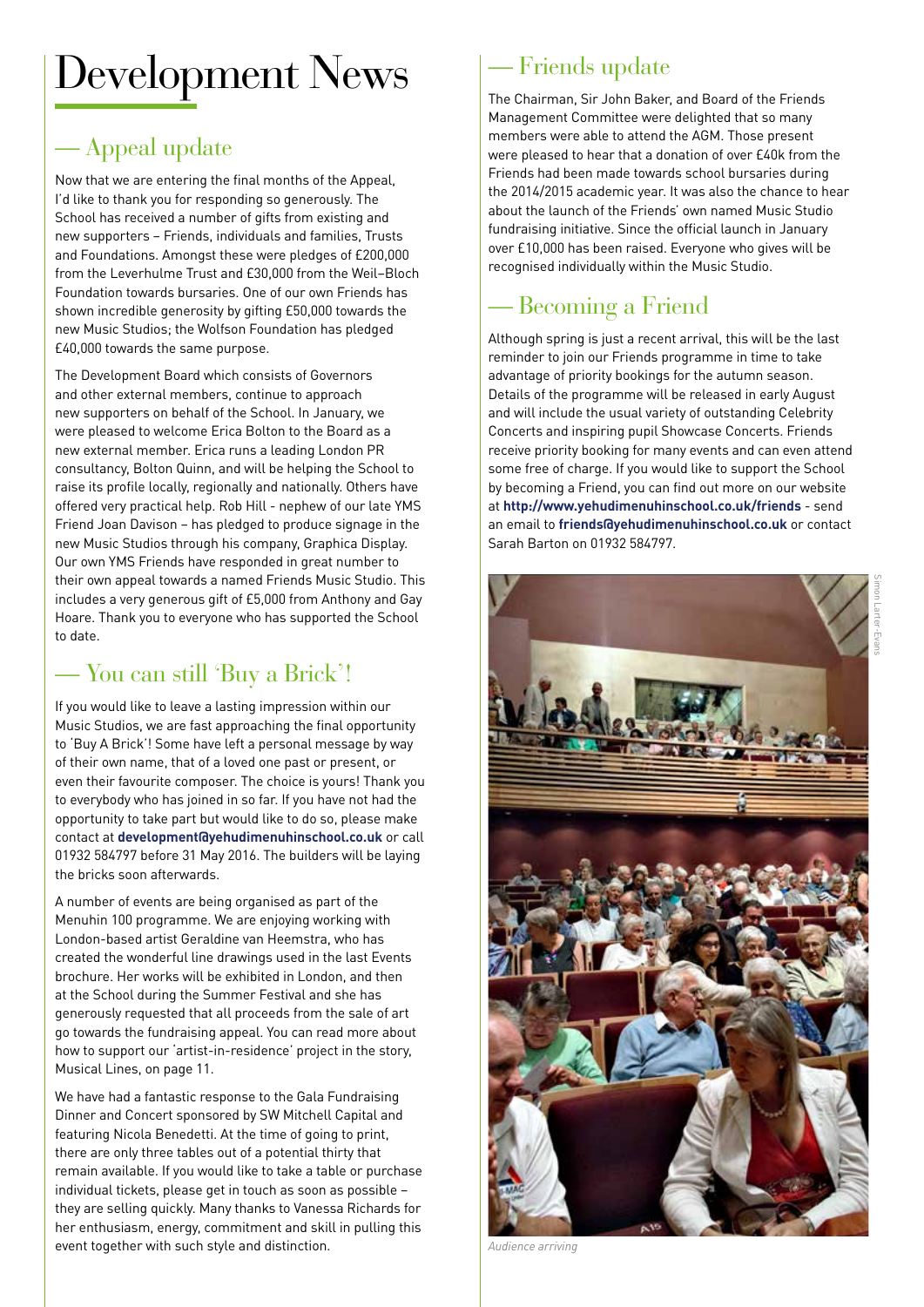## Development News

### — Appeal update

Now that we are entering the final months of the Appeal, I'd like to thank you for responding so generously. The School has received a number of gifts from existing and new supporters – Friends, individuals and families, Trusts and Foundations. Amongst these were pledges of £200,000 from the Leverhulme Trust and £30,000 from the Weil–Bloch Foundation towards bursaries. One of our own Friends has shown incredible generosity by gifting £50,000 towards the new Music Studios; the Wolfson Foundation has pledged £40,000 towards the same purpose.

The Development Board which consists of Governors and other external members, continue to approach new supporters on behalf of the School. In January, we were pleased to welcome Erica Bolton to the Board as a new external member. Erica runs a leading London PR consultancy, Bolton Quinn, and will be helping the School to raise its profile locally, regionally and nationally. Others have offered very practical help. Rob Hill - nephew of our late YMS Friend Joan Davison – has pledged to produce signage in the new Music Studios through his company, Graphica Display. Our own YMS Friends have responded in great number to their own appeal towards a named Friends Music Studio. This includes a very generous gift of £5,000 from Anthony and Gay Hoare. Thank you to everyone who has supported the School to date.

### — You can still 'Buy a Brick'!

If you would like to leave a lasting impression within our Music Studios, we are fast approaching the final opportunity to 'Buy A Brick'! Some have left a personal message by way of their own name, that of a loved one past or present, or even their favourite composer. The choice is yours! Thank you to everybody who has joined in so far. If you have not had the opportunity to take part but would like to do so, please make contact at **development@yehudimenuhinschool.co.uk** or call 01932 584797 before 31 May 2016. The builders will be laying the bricks soon afterwards.

A number of events are being organised as part of the Menuhin 100 programme. We are enjoying working with London-based artist Geraldine van Heemstra, who has created the wonderful line drawings used in the last Events brochure. Her works will be exhibited in London, and then at the School during the Summer Festival and she has generously requested that all proceeds from the sale of art go towards the fundraising appeal. You can read more about how to support our 'artist-in-residence' project in the story, Musical Lines, on page 11.

We have had a fantastic response to the Gala Fundraising Dinner and Concert sponsored by SW Mitchell Capital and featuring Nicola Benedetti. At the time of going to print, there are only three tables out of a potential thirty that remain available. If you would like to take a table or purchase individual tickets, please get in touch as soon as possible – they are selling quickly. Many thanks to Vanessa Richards for her enthusiasm, energy, commitment and skill in pulling this event together with such style and distinction.

### — Friends update

The Chairman, Sir John Baker, and Board of the Friends Management Committee were delighted that so many members were able to attend the AGM. Those present were pleased to hear that a donation of over £40k from the Friends had been made towards school bursaries during the 2014/2015 academic year. It was also the chance to hear about the launch of the Friends' own named Music Studio fundraising initiative. Since the official launch in January over £10,000 has been raised. Everyone who gives will be recognised individually within the Music Studio.

### — Becoming a Friend

Although spring is just a recent arrival, this will be the last reminder to join our Friends programme in time to take advantage of priority bookings for the autumn season. Details of the programme will be released in early August and will include the usual variety of outstanding Celebrity Concerts and inspiring pupil Showcase Concerts. Friends receive priority booking for many events and can even attend some free of charge. If you would like to support the School by becoming a Friend, you can find out more on our website at **http://www.yehudimenuhinschool.co.uk/friends** - send an email to **friends@yehudimenuhinschool.co.uk** or contact Sarah Barton on 01932 584797.



*Audience arriving*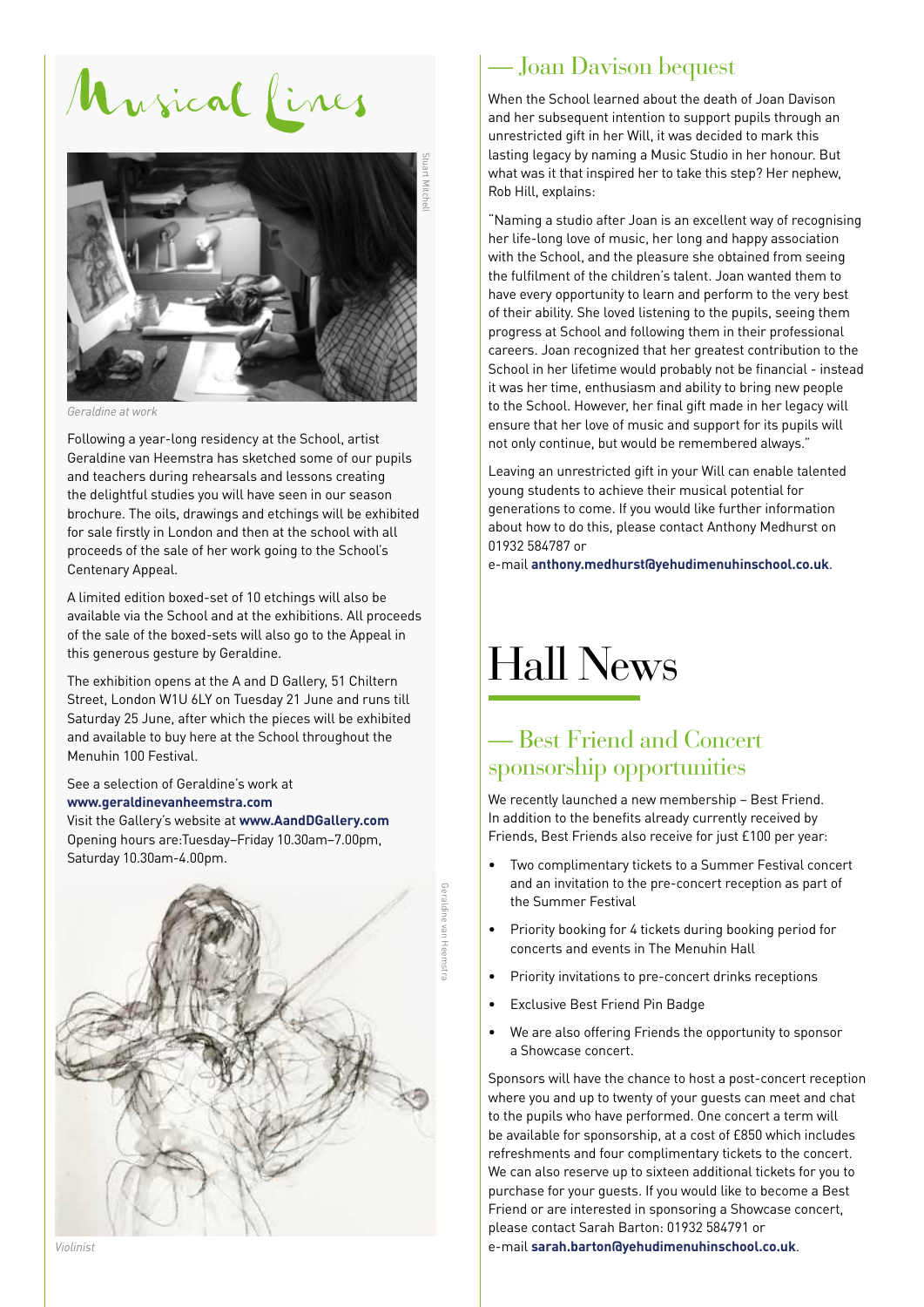# Musical Lines



*Geraldine at work*

Following a year-long residency at the School, artist Geraldine van Heemstra has sketched some of our pupils and teachers during rehearsals and lessons creating the delightful studies you will have seen in our season brochure. The oils, drawings and etchings will be exhibited for sale firstly in London and then at the school with all proceeds of the sale of her work going to the School's Centenary Appeal.

A limited edition boxed-set of 10 etchings will also be available via the School and at the exhibitions. All proceeds of the sale of the boxed-sets will also go to the Appeal in this generous gesture by Geraldine.

The exhibition opens at the A and D Gallery, 51 Chiltern Street, London W1U 6LY on Tuesday 21 June and runs till Saturday 25 June, after which the pieces will be exhibited and available to buy here at the School throughout the Menuhin 100 Festival.

See a selection of Geraldine's work at **www.geraldinevanheemstra.com** Visit the Gallery's website at **www.AandDGallery.com** Opening hours are:Tuesday–Friday 10.30am–7.00pm, Saturday 10.30am-4.00pm.



#### — Joan Davison bequest

When the School learned about the death of Joan Davison and her subsequent intention to support pupils through an unrestricted gift in her Will, it was decided to mark this lasting legacy by naming a Music Studio in her honour. But what was it that inspired her to take this step? Her nephew, Rob Hill, explains:

"Naming a studio after Joan is an excellent way of recognising her life-long love of music, her long and happy association with the School, and the pleasure she obtained from seeing the fulfilment of the children's talent. Joan wanted them to have every opportunity to learn and perform to the very best of their ability. She loved listening to the pupils, seeing them progress at School and following them in their professional careers. Joan recognized that her greatest contribution to the School in her lifetime would probably not be financial - instead it was her time, enthusiasm and ability to bring new people to the School. However, her final gift made in her legacy will ensure that her love of music and support for its pupils will not only continue, but would be remembered always."

Leaving an unrestricted gift in your Will can enable talented young students to achieve their musical potential for generations to come. If you would like further information about how to do this, please contact Anthony Medhurst on 01932 584787 or

e-mail **anthony.medhurst@yehudimenuhinschool.co.uk**.

### Hall News

#### — Best Friend and Concert sponsorship opportunities

We recently launched a new membership – Best Friend. In addition to the benefits already currently received by Friends, Best Friends also receive for just £100 per year:

- Two complimentary tickets to a Summer Festival concert and an invitation to the pre-concert reception as part of the Summer Festival
- Priority booking for 4 tickets during booking period for concerts and events in The Menuhin Hall
- Priority invitations to pre-concert drinks receptions
- Exclusive Best Friend Pin Badge
- We are also offering Friends the opportunity to sponsor a Showcase concert.

Sponsors will have the chance to host a post-concert reception where you and up to twenty of your guests can meet and chat to the pupils who have performed. One concert a term will be available for sponsorship, at a cost of £850 which includes refreshments and four complimentary tickets to the concert. We can also reserve up to sixteen additional tickets for you to purchase for your guests. If you would like to become a Best Friend or are interested in sponsoring a Showcase concert, please contact Sarah Barton: 01932 584791 or e-mail **sarah.barton@yehudimenuhinschool.co.uk**.

*Violinist*